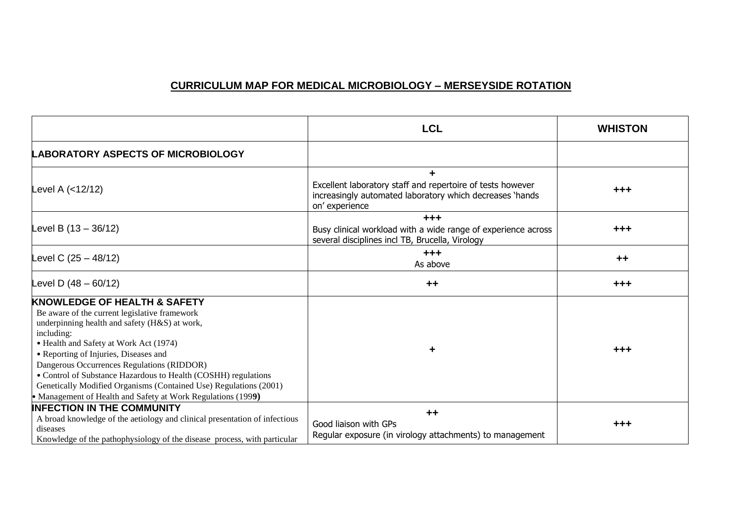## **CURRICULUM MAP FOR MEDICAL MICROBIOLOGY – MERSEYSIDE ROTATION**

|                                                                                                                                                                                                                                                                                                                                                                                                                                                                                                 | <b>LCL</b>                                                                                                                               | <b>WHISTON</b> |
|-------------------------------------------------------------------------------------------------------------------------------------------------------------------------------------------------------------------------------------------------------------------------------------------------------------------------------------------------------------------------------------------------------------------------------------------------------------------------------------------------|------------------------------------------------------------------------------------------------------------------------------------------|----------------|
| <b>LABORATORY ASPECTS OF MICROBIOLOGY</b>                                                                                                                                                                                                                                                                                                                                                                                                                                                       |                                                                                                                                          |                |
| Level A (<12/12)                                                                                                                                                                                                                                                                                                                                                                                                                                                                                | Excellent laboratory staff and repertoire of tests however<br>increasingly automated laboratory which decreases 'hands<br>on' experience | $+ + +$        |
| Level B $(13 - 36/12)$                                                                                                                                                                                                                                                                                                                                                                                                                                                                          | $+ + +$<br>Busy clinical workload with a wide range of experience across<br>several disciplines incl TB, Brucella, Virology              | $+ + +$        |
| Level C $(25 - 48/12)$                                                                                                                                                                                                                                                                                                                                                                                                                                                                          | $+ + +$<br>As above                                                                                                                      | $++$           |
| Level D $(48 - 60/12)$                                                                                                                                                                                                                                                                                                                                                                                                                                                                          | $++$                                                                                                                                     | $+ + +$        |
| <b>KNOWLEDGE OF HEALTH &amp; SAFETY</b><br>Be aware of the current legislative framework<br>underpinning health and safety (H&S) at work,<br>including:<br>• Health and Safety at Work Act (1974)<br>• Reporting of Injuries, Diseases and<br>Dangerous Occurrences Regulations (RIDDOR)<br>• Control of Substance Hazardous to Health (COSHH) regulations<br>Genetically Modified Organisms (Contained Use) Regulations (2001)<br>• Management of Health and Safety at Work Regulations (1999) | ٠                                                                                                                                        | $+ + +$        |
| <b>INFECTION IN THE COMMUNITY</b><br>A broad knowledge of the aetiology and clinical presentation of infectious<br>diseases<br>Knowledge of the pathophysiology of the disease process, with particular                                                                                                                                                                                                                                                                                         | $++$<br>Good liaison with GPs<br>Regular exposure (in virology attachments) to management                                                | $+ + +$        |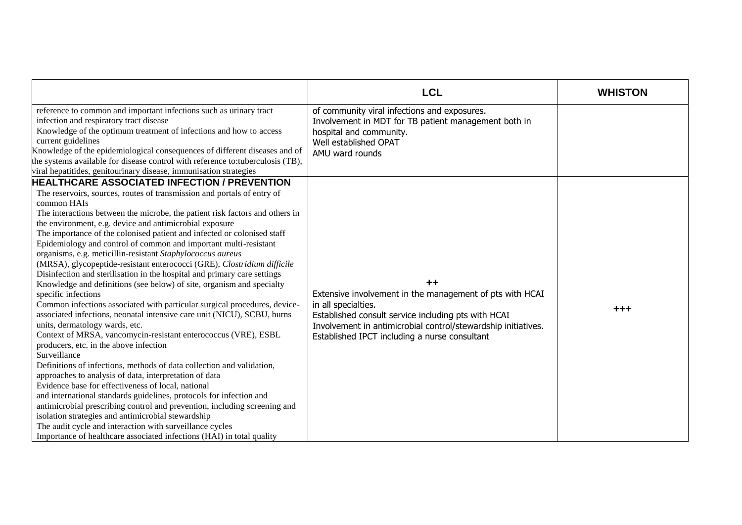|                                                                                                                                                                                                                                                                                                                                                                                                                                                                                                                                                                                                                                                                                                                                                                                                                                                                                                                                                                                                                                                                                                                                                                                                                                                                                                                                                                                                                                                                                                                                                                                                                            | <b>LCL</b>                                                                                                                                                                                                                                                       | <b>WHISTON</b> |
|----------------------------------------------------------------------------------------------------------------------------------------------------------------------------------------------------------------------------------------------------------------------------------------------------------------------------------------------------------------------------------------------------------------------------------------------------------------------------------------------------------------------------------------------------------------------------------------------------------------------------------------------------------------------------------------------------------------------------------------------------------------------------------------------------------------------------------------------------------------------------------------------------------------------------------------------------------------------------------------------------------------------------------------------------------------------------------------------------------------------------------------------------------------------------------------------------------------------------------------------------------------------------------------------------------------------------------------------------------------------------------------------------------------------------------------------------------------------------------------------------------------------------------------------------------------------------------------------------------------------------|------------------------------------------------------------------------------------------------------------------------------------------------------------------------------------------------------------------------------------------------------------------|----------------|
| reference to common and important infections such as urinary tract<br>infection and respiratory tract disease<br>Knowledge of the optimum treatment of infections and how to access<br>current guidelines<br>Knowledge of the epidemiological consequences of different diseases and of<br>the systems available for disease control with reference to:tuberculosis (TB),<br>viral hepatitides, genitourinary disease, immunisation strategies                                                                                                                                                                                                                                                                                                                                                                                                                                                                                                                                                                                                                                                                                                                                                                                                                                                                                                                                                                                                                                                                                                                                                                             | of community viral infections and exposures.<br>Involvement in MDT for TB patient management both in<br>hospital and community.<br>Well established OPAT<br>AMU ward rounds                                                                                      |                |
| <b>HEALTHCARE ASSOCIATED INFECTION / PREVENTION</b><br>The reservoirs, sources, routes of transmission and portals of entry of<br>common HAIs<br>The interactions between the microbe, the patient risk factors and others in<br>the environment, e.g. device and antimicrobial exposure<br>The importance of the colonised patient and infected or colonised staff<br>Epidemiology and control of common and important multi-resistant<br>organisms, e.g. meticillin-resistant Staphylococcus aureus<br>(MRSA), glycopeptide-resistant enterococci (GRE), Clostridium difficile<br>Disinfection and sterilisation in the hospital and primary care settings<br>Knowledge and definitions (see below) of site, organism and specialty<br>specific infections<br>Common infections associated with particular surgical procedures, device-<br>associated infections, neonatal intensive care unit (NICU), SCBU, burns<br>units, dermatology wards, etc.<br>Context of MRSA, vancomycin-resistant enterococcus (VRE), ESBL<br>producers, etc. in the above infection<br>Surveillance<br>Definitions of infections, methods of data collection and validation,<br>approaches to analysis of data, interpretation of data<br>Evidence base for effectiveness of local, national<br>and international standards guidelines, protocols for infection and<br>antimicrobial prescribing control and prevention, including screening and<br>isolation strategies and antimicrobial stewardship<br>The audit cycle and interaction with surveillance cycles<br>Importance of healthcare associated infections (HAI) in total quality | $++$<br>Extensive involvement in the management of pts with HCAI<br>in all specialties.<br>Established consult service including pts with HCAI<br>Involvement in antimicrobial control/stewardship initiatives.<br>Established IPCT including a nurse consultant | $+ + +$        |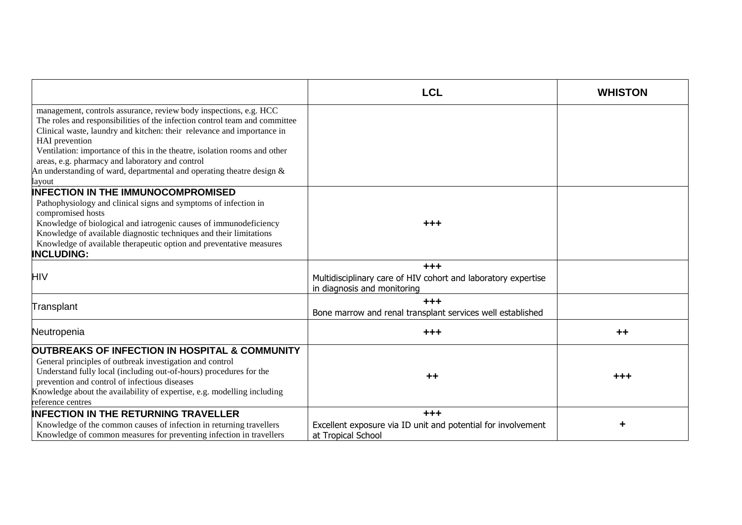|                                                                                                                                                                                                                                                                                                                                                                          | <b>LCL</b>                                                                                              | <b>WHISTON</b> |
|--------------------------------------------------------------------------------------------------------------------------------------------------------------------------------------------------------------------------------------------------------------------------------------------------------------------------------------------------------------------------|---------------------------------------------------------------------------------------------------------|----------------|
| management, controls assurance, review body inspections, e.g. HCC<br>The roles and responsibilities of the infection control team and committee<br>Clinical waste, laundry and kitchen: their relevance and importance in<br>HAI prevention                                                                                                                              |                                                                                                         |                |
| Ventilation: importance of this in the theatre, isolation rooms and other<br>areas, e.g. pharmacy and laboratory and control<br>An understanding of ward, departmental and operating theatre design $\&$<br>lavout                                                                                                                                                       |                                                                                                         |                |
| <b>INFECTION IN THE IMMUNOCOMPROMISED</b><br>Pathophysiology and clinical signs and symptoms of infection in<br>compromised hosts<br>Knowledge of biological and iatrogenic causes of immunodeficiency<br>Knowledge of available diagnostic techniques and their limitations<br>Knowledge of available therapeutic option and preventative measures<br><b>INCLUDING:</b> | $+ + +$                                                                                                 |                |
| <b>HIV</b>                                                                                                                                                                                                                                                                                                                                                               | $+ + +$<br>Multidisciplinary care of HIV cohort and laboratory expertise<br>in diagnosis and monitoring |                |
| Transplant                                                                                                                                                                                                                                                                                                                                                               | $+ + +$<br>Bone marrow and renal transplant services well established                                   |                |
| Neutropenia                                                                                                                                                                                                                                                                                                                                                              | $+ + +$                                                                                                 | $++$           |
| OUTBREAKS OF INFECTION IN HOSPITAL & COMMUNITY<br>General principles of outbreak investigation and control<br>Understand fully local (including out-of-hours) procedures for the<br>prevention and control of infectious diseases<br>Knowledge about the availability of expertise, e.g. modelling including<br>reference centres                                        | $++$                                                                                                    | $+ + +$        |
| <b>INFECTION IN THE RETURNING TRAVELLER</b><br>Knowledge of the common causes of infection in returning travellers<br>Knowledge of common measures for preventing infection in travellers                                                                                                                                                                                | $+ + +$<br>Excellent exposure via ID unit and potential for involvement<br>at Tropical School           | ٠              |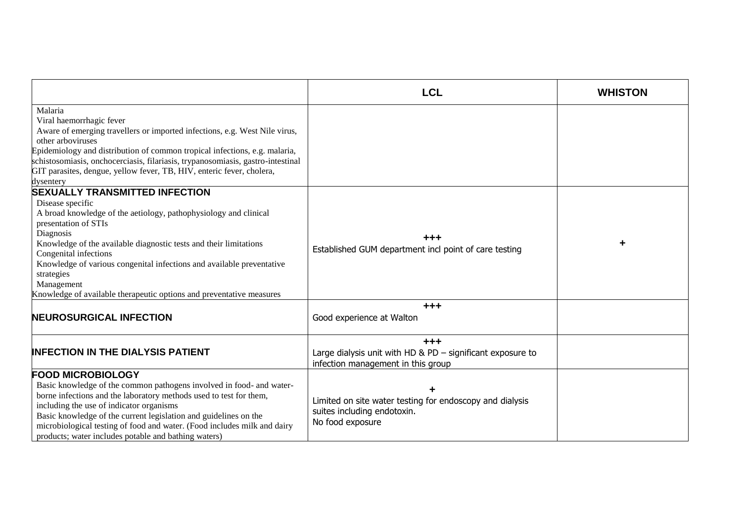|                                                                                                                                                                                                                                                                                                                                                                                                                                               | <b>LCL</b>                                                                                                    | <b>WHISTON</b> |
|-----------------------------------------------------------------------------------------------------------------------------------------------------------------------------------------------------------------------------------------------------------------------------------------------------------------------------------------------------------------------------------------------------------------------------------------------|---------------------------------------------------------------------------------------------------------------|----------------|
| Malaria<br>Viral haemorrhagic fever<br>Aware of emerging travellers or imported infections, e.g. West Nile virus,<br>other arboviruses<br>Epidemiology and distribution of common tropical infections, e.g. malaria,<br>schistosomiasis, onchocerciasis, filariasis, trypanosomiasis, gastro-intestinal<br>GIT parasites, dengue, yellow fever, TB, HIV, enteric fever, cholera,<br>dysentery                                                 |                                                                                                               |                |
| <b>SEXUALLY TRANSMITTED INFECTION</b><br>Disease specific<br>A broad knowledge of the aetiology, pathophysiology and clinical<br>presentation of STIs<br>Diagnosis<br>Knowledge of the available diagnostic tests and their limitations<br>Congenital infections<br>Knowledge of various congenital infections and available preventative<br>strategies<br>Management<br>Knowledge of available therapeutic options and preventative measures | +++<br>Established GUM department incl point of care testing                                                  |                |
| <b>NEUROSURGICAL INFECTION</b>                                                                                                                                                                                                                                                                                                                                                                                                                | $+ + +$<br>Good experience at Walton                                                                          |                |
| <b>INFECTION IN THE DIALYSIS PATIENT</b>                                                                                                                                                                                                                                                                                                                                                                                                      | $+ + +$<br>Large dialysis unit with HD & PD $-$ significant exposure to<br>infection management in this group |                |
| <b>FOOD MICROBIOLOGY</b><br>Basic knowledge of the common pathogens involved in food- and water-<br>borne infections and the laboratory methods used to test for them,<br>including the use of indicator organisms<br>Basic knowledge of the current legislation and guidelines on the<br>microbiological testing of food and water. (Food includes milk and dairy<br>products; water includes potable and bathing waters)                    | Limited on site water testing for endoscopy and dialysis<br>suites including endotoxin.<br>No food exposure   |                |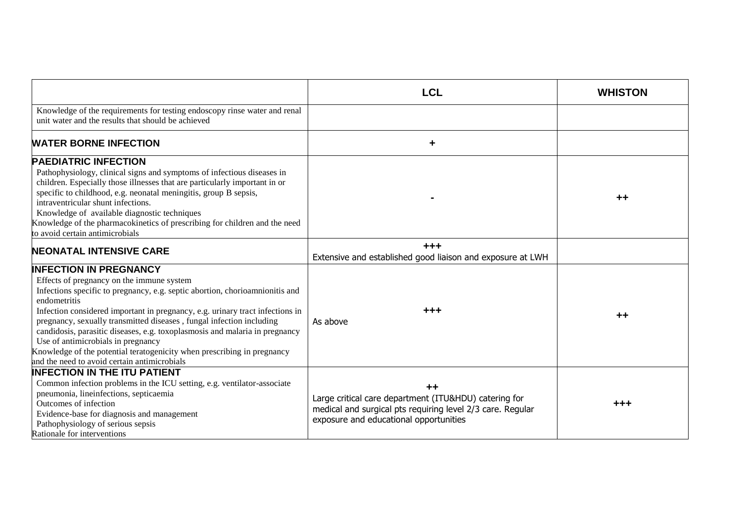|                                                                                                                                                                                                                                                                                                                                                                                                                                                                                                                                                                                     | <b>LCL</b>                                                                                                                                                            | <b>WHISTON</b> |
|-------------------------------------------------------------------------------------------------------------------------------------------------------------------------------------------------------------------------------------------------------------------------------------------------------------------------------------------------------------------------------------------------------------------------------------------------------------------------------------------------------------------------------------------------------------------------------------|-----------------------------------------------------------------------------------------------------------------------------------------------------------------------|----------------|
| Knowledge of the requirements for testing endoscopy rinse water and renal<br>unit water and the results that should be achieved                                                                                                                                                                                                                                                                                                                                                                                                                                                     |                                                                                                                                                                       |                |
| <b>WATER BORNE INFECTION</b>                                                                                                                                                                                                                                                                                                                                                                                                                                                                                                                                                        | ٠                                                                                                                                                                     |                |
| <b>PAEDIATRIC INFECTION</b><br>Pathophysiology, clinical signs and symptoms of infectious diseases in<br>children. Especially those illnesses that are particularly important in or<br>specific to childhood, e.g. neonatal meningitis, group B sepsis,<br>intraventricular shunt infections.<br>Knowledge of available diagnostic techniques<br>Knowledge of the pharmacokinetics of prescribing for children and the need<br>to avoid certain antimicrobials                                                                                                                      |                                                                                                                                                                       | $+ +$          |
| <b>NEONATAL INTENSIVE CARE</b>                                                                                                                                                                                                                                                                                                                                                                                                                                                                                                                                                      | $+ + +$<br>Extensive and established good liaison and exposure at LWH                                                                                                 |                |
| <b>INFECTION IN PREGNANCY</b><br>Effects of pregnancy on the immune system<br>Infections specific to pregnancy, e.g. septic abortion, chorioamnionitis and<br>endometritis<br>Infection considered important in pregnancy, e.g. urinary tract infections in<br>pregnancy, sexually transmitted diseases, fungal infection including<br>candidosis, parasitic diseases, e.g. toxoplasmosis and malaria in pregnancy<br>Use of antimicrobials in pregnancy<br>Knowledge of the potential teratogenicity when prescribing in pregnancy<br>and the need to avoid certain antimicrobials | $+ + +$<br>As above                                                                                                                                                   | $++$           |
| <b>INFECTION IN THE ITU PATIENT</b><br>Common infection problems in the ICU setting, e.g. ventilator-associate<br>pneumonia, lineinfections, septicaemia<br>Outcomes of infection<br>Evidence-base for diagnosis and management<br>Pathophysiology of serious sepsis<br>Rationale for interventions                                                                                                                                                                                                                                                                                 | $++$<br>Large critical care department (ITU&HDU) catering for<br>medical and surgical pts requiring level 2/3 care. Regular<br>exposure and educational opportunities | $+ + +$        |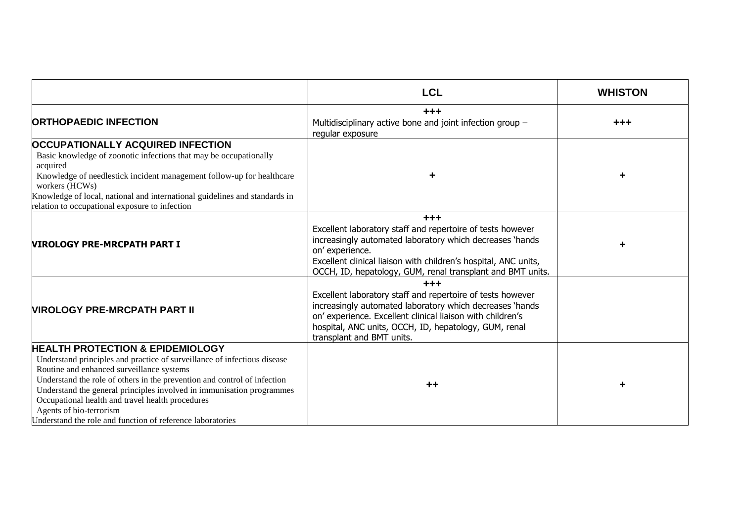|                                                                                                                                                                                                                                                                                                                                                                                                                                                                        | <b>LCL</b>                                                                                                                                                                                                                                                                            | <b>WHISTON</b> |
|------------------------------------------------------------------------------------------------------------------------------------------------------------------------------------------------------------------------------------------------------------------------------------------------------------------------------------------------------------------------------------------------------------------------------------------------------------------------|---------------------------------------------------------------------------------------------------------------------------------------------------------------------------------------------------------------------------------------------------------------------------------------|----------------|
| <b>ORTHOPAEDIC INFECTION</b>                                                                                                                                                                                                                                                                                                                                                                                                                                           | $+ + +$<br>Multidisciplinary active bone and joint infection group -<br>regular exposure                                                                                                                                                                                              | $+ + +$        |
| <b>OCCUPATIONALLY ACQUIRED INFECTION</b><br>Basic knowledge of zoonotic infections that may be occupationally<br>acquired<br>Knowledge of needlestick incident management follow-up for healthcare<br>workers (HCWs)<br>Knowledge of local, national and international guidelines and standards in<br>relation to occupational exposure to infection                                                                                                                   | ٠                                                                                                                                                                                                                                                                                     |                |
| <b>NIROLOGY PRE-MRCPATH PART I</b>                                                                                                                                                                                                                                                                                                                                                                                                                                     | $+ + +$<br>Excellent laboratory staff and repertoire of tests however<br>increasingly automated laboratory which decreases 'hands<br>on' experience.<br>Excellent clinical liaison with children's hospital, ANC units,<br>OCCH, ID, hepatology, GUM, renal transplant and BMT units. |                |
| <b>NIROLOGY PRE-MRCPATH PART II</b>                                                                                                                                                                                                                                                                                                                                                                                                                                    | $+ + +$<br>Excellent laboratory staff and repertoire of tests however<br>increasingly automated laboratory which decreases 'hands<br>on' experience. Excellent clinical liaison with children's<br>hospital, ANC units, OCCH, ID, hepatology, GUM, renal<br>transplant and BMT units. |                |
| <b>HEALTH PROTECTION &amp; EPIDEMIOLOGY</b><br>Understand principles and practice of surveillance of infectious disease<br>Routine and enhanced surveillance systems<br>Understand the role of others in the prevention and control of infection<br>Understand the general principles involved in immunisation programmes<br>Occupational health and travel health procedures<br>Agents of bio-terrorism<br>Understand the role and function of reference laboratories | $++$                                                                                                                                                                                                                                                                                  |                |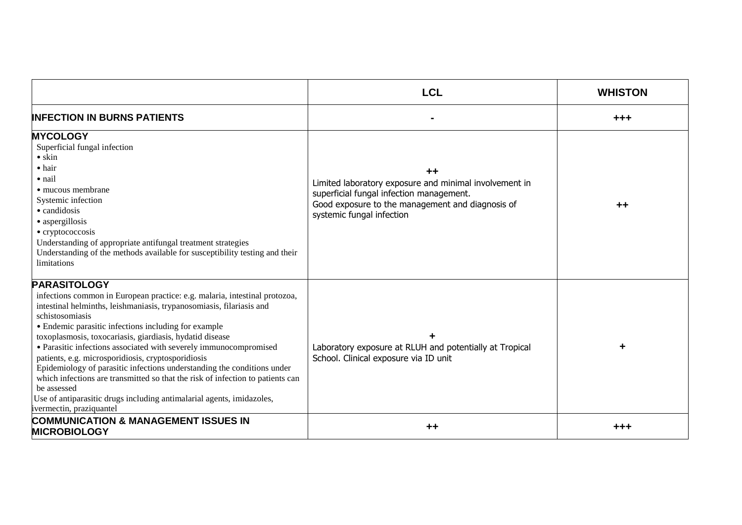|                                                                                                                                                                                                                                                                                                                                                                                                                                                                                                                                                                                                                                                                                                                              | <b>LCL</b>                                                                                                                                                                                | <b>WHISTON</b> |
|------------------------------------------------------------------------------------------------------------------------------------------------------------------------------------------------------------------------------------------------------------------------------------------------------------------------------------------------------------------------------------------------------------------------------------------------------------------------------------------------------------------------------------------------------------------------------------------------------------------------------------------------------------------------------------------------------------------------------|-------------------------------------------------------------------------------------------------------------------------------------------------------------------------------------------|----------------|
| <b>INFECTION IN BURNS PATIENTS</b>                                                                                                                                                                                                                                                                                                                                                                                                                                                                                                                                                                                                                                                                                           |                                                                                                                                                                                           | +++            |
| <b>MYCOLOGY</b><br>Superficial fungal infection<br>$\bullet$ skin<br>$\bullet$ hair<br>• nail<br>• mucous membrane<br>Systemic infection<br>• candidosis<br>• aspergillosis<br>• cryptococcosis<br>Understanding of appropriate antifungal treatment strategies<br>Understanding of the methods available for susceptibility testing and their<br>limitations                                                                                                                                                                                                                                                                                                                                                                | ++<br>Limited laboratory exposure and minimal involvement in<br>superficial fungal infection management.<br>Good exposure to the management and diagnosis of<br>systemic fungal infection | $++$           |
| <b>PARASITOLOGY</b><br>infections common in European practice: e.g. malaria, intestinal protozoa,<br>intestinal helminths, leishmaniasis, trypanosomiasis, filariasis and<br>schistosomiasis<br>• Endemic parasitic infections including for example<br>toxoplasmosis, toxocariasis, giardiasis, hydatid disease<br>• Parasitic infections associated with severely immunocompromised<br>patients, e.g. microsporidiosis, cryptosporidiosis<br>Epidemiology of parasitic infections understanding the conditions under<br>which infections are transmitted so that the risk of infection to patients can<br>be assessed<br>Use of antiparasitic drugs including antimalarial agents, imidazoles,<br>ivermectin, praziquantel | Laboratory exposure at RLUH and potentially at Tropical<br>School. Clinical exposure via ID unit                                                                                          |                |
| <b>COMMUNICATION &amp; MANAGEMENT ISSUES IN</b><br><b>MICROBIOLOGY</b>                                                                                                                                                                                                                                                                                                                                                                                                                                                                                                                                                                                                                                                       | $++$                                                                                                                                                                                      | +++            |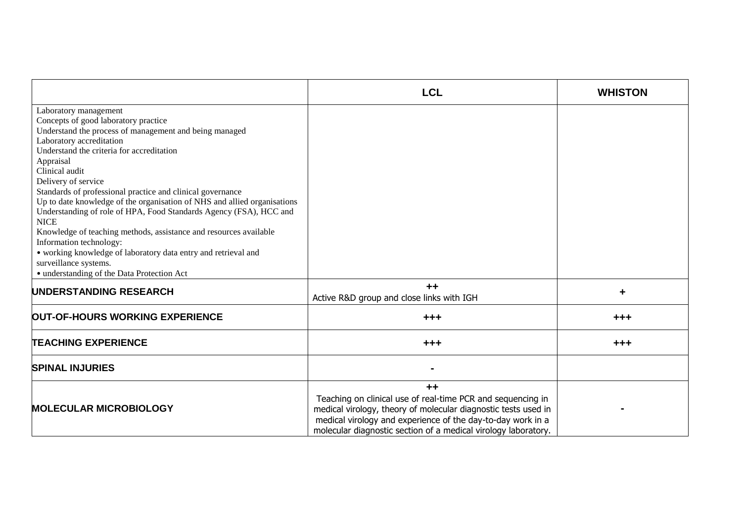|                                                                          | <b>LCL</b>                                                                                                                                                                                                                                                             | <b>WHISTON</b> |
|--------------------------------------------------------------------------|------------------------------------------------------------------------------------------------------------------------------------------------------------------------------------------------------------------------------------------------------------------------|----------------|
| Laboratory management                                                    |                                                                                                                                                                                                                                                                        |                |
| Concepts of good laboratory practice                                     |                                                                                                                                                                                                                                                                        |                |
| Understand the process of management and being managed                   |                                                                                                                                                                                                                                                                        |                |
| Laboratory accreditation                                                 |                                                                                                                                                                                                                                                                        |                |
| Understand the criteria for accreditation                                |                                                                                                                                                                                                                                                                        |                |
| Appraisal                                                                |                                                                                                                                                                                                                                                                        |                |
| Clinical audit                                                           |                                                                                                                                                                                                                                                                        |                |
| Delivery of service                                                      |                                                                                                                                                                                                                                                                        |                |
| Standards of professional practice and clinical governance               |                                                                                                                                                                                                                                                                        |                |
| Up to date knowledge of the organisation of NHS and allied organisations |                                                                                                                                                                                                                                                                        |                |
| Understanding of role of HPA, Food Standards Agency (FSA), HCC and       |                                                                                                                                                                                                                                                                        |                |
| <b>NICE</b>                                                              |                                                                                                                                                                                                                                                                        |                |
| Knowledge of teaching methods, assistance and resources available        |                                                                                                                                                                                                                                                                        |                |
| Information technology:                                                  |                                                                                                                                                                                                                                                                        |                |
| · working knowledge of laboratory data entry and retrieval and           |                                                                                                                                                                                                                                                                        |                |
| surveillance systems.                                                    |                                                                                                                                                                                                                                                                        |                |
| · understanding of the Data Protection Act                               |                                                                                                                                                                                                                                                                        |                |
| UNDERSTANDING RESEARCH                                                   | $++$                                                                                                                                                                                                                                                                   | ٠              |
|                                                                          | Active R&D group and close links with IGH                                                                                                                                                                                                                              |                |
| OUT-OF-HOURS WORKING EXPERIENCE                                          | $+ + +$                                                                                                                                                                                                                                                                | $+ + +$        |
| <b>TEACHING EXPERIENCE</b>                                               | $+++$                                                                                                                                                                                                                                                                  | $+++$          |
| <b>SPINAL INJURIES</b>                                                   |                                                                                                                                                                                                                                                                        |                |
| <b>MOLECULAR MICROBIOLOGY</b>                                            | $++$<br>Teaching on clinical use of real-time PCR and sequencing in<br>medical virology, theory of molecular diagnostic tests used in<br>medical virology and experience of the day-to-day work in a<br>molecular diagnostic section of a medical virology laboratory. |                |